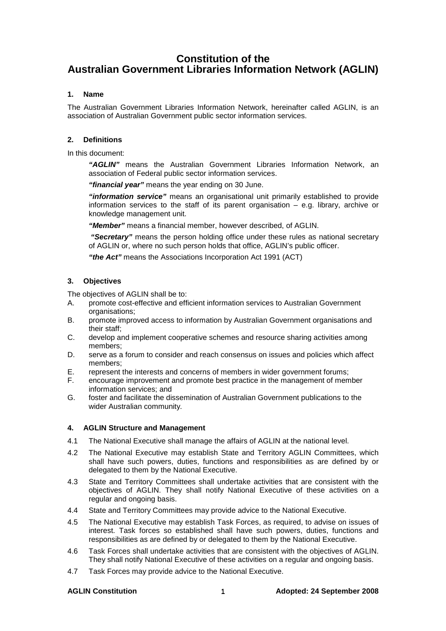# **Constitution of the Australian Government Libraries Information Network (AGLIN)**

# **1. Name**

The Australian Government Libraries Information Network, hereinafter called AGLIN, is an association of Australian Government public sector information services.

# **2. Definitions**

In this document:

 **"AGLIN"** means the Australian Government Libraries Information Network, an association of Federal public sector information services.

 **"financial year"** means the year ending on 30 June.

 **"information service"** means an organisational unit primarily established to provide information services to the staff of its parent organisation  $-$  e.g. library, archive or knowledge management unit.

 **"Member"** means a financial member, however described, of AGLIN.

 **"Secretary"** means the person holding office under these rules as national secretary of AGLIN or, where no such person holds that office, AGLIN's public officer.

 **"the Act"** means the Associations Incorporation Act 1991 (ACT)

# **3. Objectives**

The objectives of AGLIN shall be to:

- A. promote cost-effective and efficient information services to Australian Government organisations;
- B. promote improved access to information by Australian Government organisations and their staff;
- C. develop and implement cooperative schemes and resource sharing activities among members;
- D. serve as a forum to consider and reach consensus on issues and policies which affect members;
- E. represent the interests and concerns of members in wider government forums;
- F. encourage improvement and promote best practice in the management of member information services; and
- G. foster and facilitate the dissemination of Australian Government publications to the wider Australian community.

### **4. AGLIN Structure and Management**

- 4.1 The National Executive shall manage the affairs of AGLIN at the national level.
- 4.2 The National Executive may establish State and Territory AGLIN Committees, which shall have such powers, duties, functions and responsibilities as are defined by or delegated to them by the National Executive.
- 4.3 State and Territory Committees shall undertake activities that are consistent with the objectives of AGLIN. They shall notify National Executive of these activities on a regular and ongoing basis.
- 4.4 State and Territory Committees may provide advice to the National Executive.
- 4.5 The National Executive may establish Task Forces, as required, to advise on issues of interest. Task forces so established shall have such powers, duties, functions and responsibilities as are defined by or delegated to them by the National Executive.
- 4.6 Task Forces shall undertake activities that are consistent with the objectives of AGLIN. They shall notify National Executive of these activities on a regular and ongoing basis.
- 4.7 Task Forces may provide advice to the National Executive.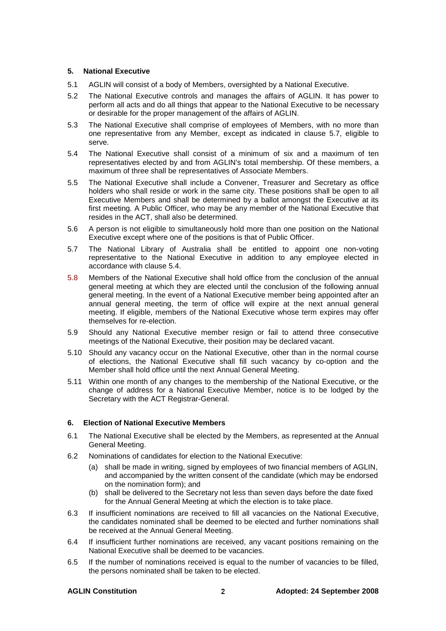# **5. National Executive**

- 5.1 AGLIN will consist of a body of Members, oversighted by a National Executive.
- 5.2 The National Executive controls and manages the affairs of AGLIN. It has power to perform all acts and do all things that appear to the National Executive to be necessary or desirable for the proper management of the affairs of AGLIN.
- 5.3 The National Executive shall comprise of employees of Members, with no more than one representative from any Member, except as indicated in clause 5.7, eligible to serve.
- 5.4 The National Executive shall consist of a minimum of six and a maximum of ten representatives elected by and from AGLIN's total membership. Of these members, a maximum of three shall be representatives of Associate Members.
- 5.5 The National Executive shall include a Convener, Treasurer and Secretary as office holders who shall reside or work in the same city. These positions shall be open to all Executive Members and shall be determined by a ballot amongst the Executive at its first meeting. A Public Officer, who may be any member of the National Executive that resides in the ACT, shall also be determined.
- 5.6 A person is not eligible to simultaneously hold more than one position on the National Executive except where one of the positions is that of Public Officer.
- 5.7 The National Library of Australia shall be entitled to appoint one non-voting representative to the National Executive in addition to any employee elected in accordance with clause 5.4.
- 5.8 Members of the National Executive shall hold office from the conclusion of the annual general meeting at which they are elected until the conclusion of the following annual general meeting. In the event of a National Executive member being appointed after an annual general meeting, the term of office will expire at the next annual general meeting. If eligible, members of the National Executive whose term expires may offer themselves for re-election.
- 5.9 Should any National Executive member resign or fail to attend three consecutive meetings of the National Executive, their position may be declared vacant.
- 5.10 Should any vacancy occur on the National Executive, other than in the normal course of elections, the National Executive shall fill such vacancy by co-option and the Member shall hold office until the next Annual General Meeting.
- 5.11 Within one month of any changes to the membership of the National Executive, or the change of address for a National Executive Member, notice is to be lodged by the Secretary with the ACT Registrar-General.

# **6. Election of National Executive Members**

- 6.1 The National Executive shall be elected by the Members, as represented at the Annual General Meeting.
- 6.2 Nominations of candidates for election to the National Executive:
	- (a) shall be made in writing, signed by employees of two financial members of AGLIN, and accompanied by the written consent of the candidate (which may be endorsed on the nomination form); and
	- (b) shall be delivered to the Secretary not less than seven days before the date fixed for the Annual General Meeting at which the election is to take place.
- 6.3 If insufficient nominations are received to fill all vacancies on the National Executive, the candidates nominated shall be deemed to be elected and further nominations shall be received at the Annual General Meeting.
- 6.4 If insufficient further nominations are received, any vacant positions remaining on the National Executive shall be deemed to be vacancies.
- 6.5 If the number of nominations received is equal to the number of vacancies to be filled, the persons nominated shall be taken to be elected.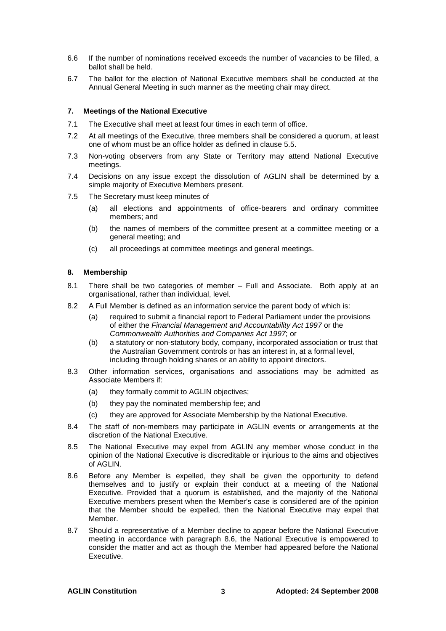- 6.6 If the number of nominations received exceeds the number of vacancies to be filled, a ballot shall be held.
- 6.7 The ballot for the election of National Executive members shall be conducted at the Annual General Meeting in such manner as the meeting chair may direct.

# **7. Meetings of the National Executive**

- 7.1 The Executive shall meet at least four times in each term of office.
- 7.2 At all meetings of the Executive, three members shall be considered a quorum, at least one of whom must be an office holder as defined in clause 5.5.
- 7.3 Non-voting observers from any State or Territory may attend National Executive meetings.
- 7.4 Decisions on any issue except the dissolution of AGLIN shall be determined by a simple majority of Executive Members present.
- 7.5 The Secretary must keep minutes of
	- (a) all elections and appointments of office-bearers and ordinary committee members; and
	- (b) the names of members of the committee present at a committee meeting or a general meeting; and
	- (c) all proceedings at committee meetings and general meetings.

# **8. Membership**

- 8.1 There shall be two categories of member Full and Associate. Both apply at an organisational, rather than individual, level.
- 8.2 A Full Member is defined as an information service the parent body of which is:
	- (a) required to submit a financial report to Federal Parliament under the provisions of either the Financial Management and Accountability Act 1997 or the Commonwealth Authorities and Companies Act 1997; or
	- (b) a statutory or non-statutory body, company, incorporated association or trust that the Australian Government controls or has an interest in, at a formal level, including through holding shares or an ability to appoint directors.
- 8.3 Other information services, organisations and associations may be admitted as Associate Members if:
	- (a) they formally commit to AGLIN objectives;
	- (b) they pay the nominated membership fee; and
	- (c) they are approved for Associate Membership by the National Executive.
- 8.4 The staff of non-members may participate in AGLIN events or arrangements at the discretion of the National Executive.
- 8.5 The National Executive may expel from AGLIN any member whose conduct in the opinion of the National Executive is discreditable or injurious to the aims and objectives of AGLIN.
- 8.6 Before any Member is expelled, they shall be given the opportunity to defend themselves and to justify or explain their conduct at a meeting of the National Executive. Provided that a quorum is established, and the majority of the National Executive members present when the Member's case is considered are of the opinion that the Member should be expelled, then the National Executive may expel that Member.
- 8.7 Should a representative of a Member decline to appear before the National Executive meeting in accordance with paragraph 8.6, the National Executive is empowered to consider the matter and act as though the Member had appeared before the National Executive.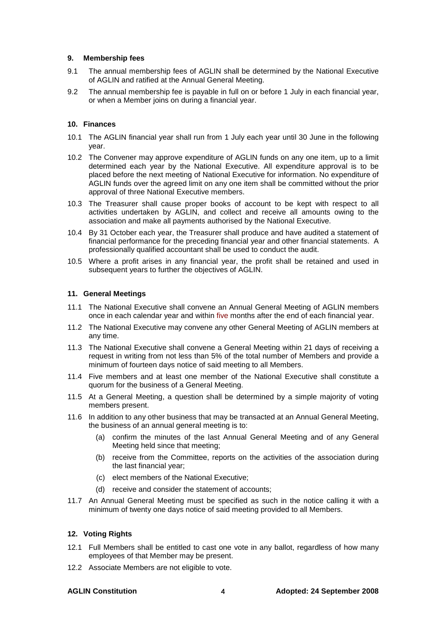# **9. Membership fees**

- 9.1 The annual membership fees of AGLIN shall be determined by the National Executive of AGLIN and ratified at the Annual General Meeting.
- 9.2 The annual membership fee is payable in full on or before 1 July in each financial year, or when a Member joins on during a financial year.

# **10. Finances**

- 10.1 The AGLIN financial year shall run from 1 July each year until 30 June in the following year.
- 10.2 The Convener may approve expenditure of AGLIN funds on any one item, up to a limit determined each year by the National Executive. All expenditure approval is to be placed before the next meeting of National Executive for information. No expenditure of AGLIN funds over the agreed limit on any one item shall be committed without the prior approval of three National Executive members.
- 10.3 The Treasurer shall cause proper books of account to be kept with respect to all activities undertaken by AGLIN, and collect and receive all amounts owing to the association and make all payments authorised by the National Executive.
- 10.4 By 31 October each year, the Treasurer shall produce and have audited a statement of financial performance for the preceding financial year and other financial statements. A professionally qualified accountant shall be used to conduct the audit.
- 10.5 Where a profit arises in any financial year, the profit shall be retained and used in subsequent years to further the objectives of AGLIN.

### **11. General Meetings**

- 11.1 The National Executive shall convene an Annual General Meeting of AGLIN members once in each calendar year and within five months after the end of each financial year.
- 11.2 The National Executive may convene any other General Meeting of AGLIN members at any time.
- 11.3 The National Executive shall convene a General Meeting within 21 days of receiving a request in writing from not less than 5% of the total number of Members and provide a minimum of fourteen days notice of said meeting to all Members.
- 11.4 Five members and at least one member of the National Executive shall constitute a quorum for the business of a General Meeting.
- 11.5 At a General Meeting, a question shall be determined by a simple majority of voting members present.
- 11.6 In addition to any other business that may be transacted at an Annual General Meeting, the business of an annual general meeting is to:
	- (a) confirm the minutes of the last Annual General Meeting and of any General Meeting held since that meeting;
	- (b) receive from the Committee, reports on the activities of the association during the last financial year;
	- (c) elect members of the National Executive;
	- (d) receive and consider the statement of accounts;
- 11.7 An Annual General Meeting must be specified as such in the notice calling it with a minimum of twenty one days notice of said meeting provided to all Members.

### **12. Voting Rights**

- 12.1 Full Members shall be entitled to cast one vote in any ballot, regardless of how many employees of that Member may be present.
- 12.2 Associate Members are not eligible to vote.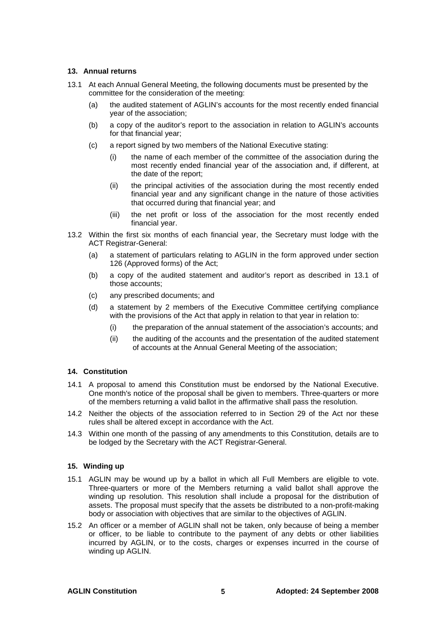# **13. Annual returns**

- 13.1 At each Annual General Meeting, the following documents must be presented by the committee for the consideration of the meeting:
	- (a) the audited statement of AGLIN's accounts for the most recently ended financial year of the association;
	- (b) a copy of the auditor's report to the association in relation to AGLIN's accounts for that financial year;
	- (c) a report signed by two members of the National Executive stating:
		- (i) the name of each member of the committee of the association during the most recently ended financial year of the association and, if different, at the date of the report;
		- (ii) the principal activities of the association during the most recently ended financial year and any significant change in the nature of those activities that occurred during that financial year; and
		- (iii) the net profit or loss of the association for the most recently ended financial year.
- 13.2 Within the first six months of each financial year, the Secretary must lodge with the ACT Registrar-General:
	- (a) a statement of particulars relating to AGLIN in the form approved under section 126 (Approved forms) of the Act;
	- (b) a copy of the audited statement and auditor's report as described in 13.1 of those accounts;
	- (c) any prescribed documents; and
	- (d) a statement by 2 members of the Executive Committee certifying compliance with the provisions of the Act that apply in relation to that year in relation to:
		- (i) the preparation of the annual statement of the association's accounts; and
		- (ii) the auditing of the accounts and the presentation of the audited statement of accounts at the Annual General Meeting of the association;

# **14. Constitution**

- 14.1 A proposal to amend this Constitution must be endorsed by the National Executive. One month's notice of the proposal shall be given to members. Three-quarters or more of the members returning a valid ballot in the affirmative shall pass the resolution.
- 14.2 Neither the objects of the association referred to in Section 29 of the Act nor these rules shall be altered except in accordance with the Act.
- 14.3 Within one month of the passing of any amendments to this Constitution, details are to be lodged by the Secretary with the ACT Registrar-General.

### **15. Winding up**

- 15.1 AGLIN may be wound up by a ballot in which all Full Members are eligible to vote. Three-quarters or more of the Members returning a valid ballot shall approve the winding up resolution. This resolution shall include a proposal for the distribution of assets. The proposal must specify that the assets be distributed to a non-profit-making body or association with objectives that are similar to the objectives of AGLIN.
- 15.2 An officer or a member of AGLIN shall not be taken, only because of being a member or officer, to be liable to contribute to the payment of any debts or other liabilities incurred by AGLIN, or to the costs, charges or expenses incurred in the course of winding up AGLIN.